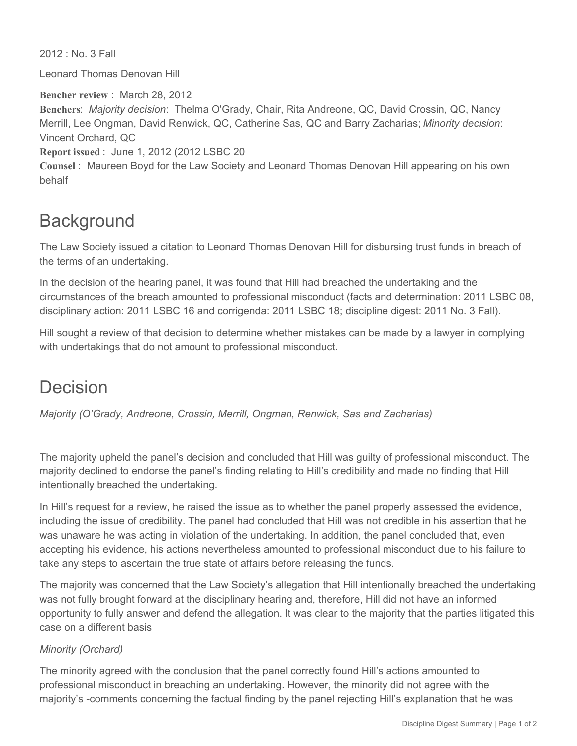2012 : No. 3 Fall

Leonard Thomas Denovan Hill

**Bencher review** : March 28, 2012 **Benchers**: *Majority decision*: Thelma O'Grady, Chair, Rita Andreone, QC, David Crossin, QC, Nancy Merrill, Lee Ongman, David Renwick, QC, Catherine Sas, QC and Barry Zacharias; *Minority decision*: Vincent Orchard, QC **Report issued** : June 1, 2012 (2012 LSBC 20

**Counsel** : Maureen Boyd for the Law Society and Leonard Thomas Denovan Hill appearing on his own behalf

## **Background**

The Law Society issued a citation to Leonard Thomas Denovan Hill for disbursing trust funds in breach of the terms of an undertaking.

In the decision of the hearing panel, it was found that Hill had breached the undertaking and the circumstances of the breach amounted to professional misconduct (facts and determination: 2011 LSBC 08, disciplinary action: 2011 LSBC 16 and corrigenda: 2011 LSBC 18; discipline digest: 2011 No. 3 Fall).

Hill sought a review of that decision to determine whether mistakes can be made by a lawyer in complying with undertakings that do not amount to professional misconduct.

## Decision

*Majority (O'Grady, Andreone, Crossin, Merrill, Ongman, Renwick, Sas and Zacharias)*

The majority upheld the panel's decision and concluded that Hill was guilty of professional misconduct. The majority declined to endorse the panel's finding relating to Hill's credibility and made no finding that Hill intentionally breached the undertaking.

In Hill's request for a review, he raised the issue as to whether the panel properly assessed the evidence, including the issue of credibility. The panel had concluded that Hill was not credible in his assertion that he was unaware he was acting in violation of the undertaking. In addition, the panel concluded that, even accepting his evidence, his actions nevertheless amounted to professional misconduct due to his failure to take any steps to ascertain the true state of affairs before releasing the funds.

The majority was concerned that the Law Society's allegation that Hill intentionally breached the undertaking was not fully brought forward at the disciplinary hearing and, therefore, Hill did not have an informed opportunity to fully answer and defend the allegation. It was clear to the majority that the parties litigated this case on a different basis

## *Minority (Orchard)*

The minority agreed with the conclusion that the panel correctly found Hill's actions amounted to professional misconduct in breaching an undertaking. However, the minority did not agree with the majority's comments concerning the factual finding by the panel rejecting Hill's explanation that he was